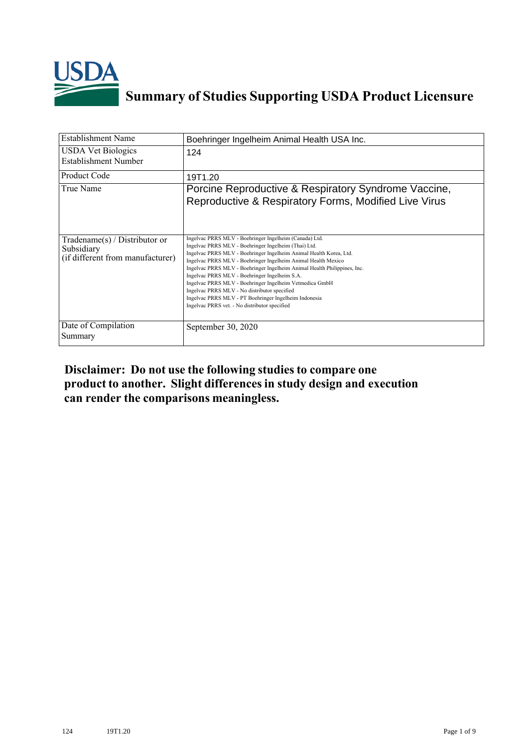

## **Summary of Studies Supporting USDA Product Licensure**

| <b>Establishment Name</b>                                                       | Boehringer Ingelheim Animal Health USA Inc.                                                                                                                                                                                                                                                                                                                                                                                                                                                                                                                                                             |
|---------------------------------------------------------------------------------|---------------------------------------------------------------------------------------------------------------------------------------------------------------------------------------------------------------------------------------------------------------------------------------------------------------------------------------------------------------------------------------------------------------------------------------------------------------------------------------------------------------------------------------------------------------------------------------------------------|
| <b>USDA Vet Biologics</b><br>Establishment Number                               | 124                                                                                                                                                                                                                                                                                                                                                                                                                                                                                                                                                                                                     |
| Product Code                                                                    | 19T1.20                                                                                                                                                                                                                                                                                                                                                                                                                                                                                                                                                                                                 |
| True Name                                                                       | Porcine Reproductive & Respiratory Syndrome Vaccine,<br>Reproductive & Respiratory Forms, Modified Live Virus                                                                                                                                                                                                                                                                                                                                                                                                                                                                                           |
| Tradename(s) / Distributor or<br>Subsidiary<br>(if different from manufacturer) | Ingelvac PRRS MLV - Boehringer Ingelheim (Canada) Ltd.<br>Ingelvac PRRS MLV - Boehringer Ingelheim (Thai) Ltd.<br>Ingelvac PRRS MLV - Boehringer Ingelheim Animal Health Korea, Ltd.<br>Ingelvac PRRS MLV - Boehringer Ingelheim Animal Health Mexico<br>Ingelvac PRRS MLV - Boehringer Ingelheim Animal Health Philippines, Inc.<br>Ingelvac PRRS MLV - Boehringer Ingelheim S.A.<br>Ingelvac PRRS MLV - Boehringer Ingelheim Vetmedica GmbH<br>Ingelvac PRRS MLV - No distributor specified<br>Ingelvac PRRS MLV - PT Boehringer Ingelheim Indonesia<br>Ingelvac PRRS vet. - No distributor specified |
| Date of Compilation<br>Summary                                                  | September 30, 2020                                                                                                                                                                                                                                                                                                                                                                                                                                                                                                                                                                                      |

## **Disclaimer: Do not use the following studiesto compare one product to another. Slight differencesin study design and execution can render the comparisons meaningless.**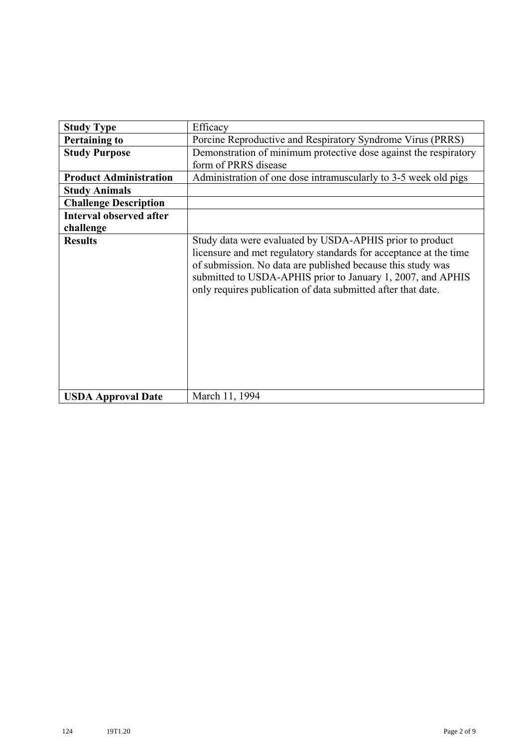| <b>Study Type</b>              | Efficacy                                                                                                                                                                                                                                                                                                                    |
|--------------------------------|-----------------------------------------------------------------------------------------------------------------------------------------------------------------------------------------------------------------------------------------------------------------------------------------------------------------------------|
| <b>Pertaining to</b>           | Porcine Reproductive and Respiratory Syndrome Virus (PRRS)                                                                                                                                                                                                                                                                  |
| <b>Study Purpose</b>           | Demonstration of minimum protective dose against the respiratory                                                                                                                                                                                                                                                            |
|                                | form of PRRS disease                                                                                                                                                                                                                                                                                                        |
| <b>Product Administration</b>  | Administration of one dose intramuscularly to 3-5 week old pigs                                                                                                                                                                                                                                                             |
| <b>Study Animals</b>           |                                                                                                                                                                                                                                                                                                                             |
| <b>Challenge Description</b>   |                                                                                                                                                                                                                                                                                                                             |
| <b>Interval observed after</b> |                                                                                                                                                                                                                                                                                                                             |
| challenge                      |                                                                                                                                                                                                                                                                                                                             |
| <b>Results</b>                 | Study data were evaluated by USDA-APHIS prior to product<br>licensure and met regulatory standards for acceptance at the time<br>of submission. No data are published because this study was<br>submitted to USDA-APHIS prior to January 1, 2007, and APHIS<br>only requires publication of data submitted after that date. |
| <b>USDA Approval Date</b>      | March 11, 1994                                                                                                                                                                                                                                                                                                              |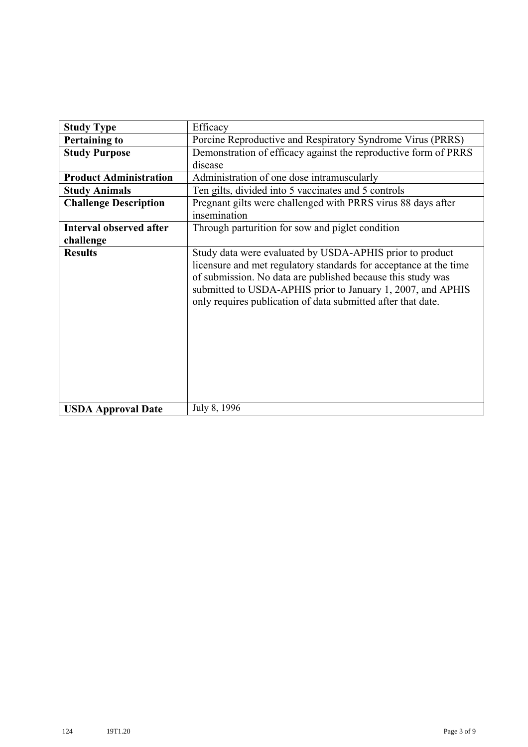| <b>Study Type</b>              | Efficacy                                                                                                                                                                                                                                                                                                                    |
|--------------------------------|-----------------------------------------------------------------------------------------------------------------------------------------------------------------------------------------------------------------------------------------------------------------------------------------------------------------------------|
| <b>Pertaining to</b>           | Porcine Reproductive and Respiratory Syndrome Virus (PRRS)                                                                                                                                                                                                                                                                  |
| <b>Study Purpose</b>           | Demonstration of efficacy against the reproductive form of PRRS                                                                                                                                                                                                                                                             |
|                                | disease                                                                                                                                                                                                                                                                                                                     |
| <b>Product Administration</b>  | Administration of one dose intramuscularly                                                                                                                                                                                                                                                                                  |
| <b>Study Animals</b>           | Ten gilts, divided into 5 vaccinates and 5 controls                                                                                                                                                                                                                                                                         |
| <b>Challenge Description</b>   | Pregnant gilts were challenged with PRRS virus 88 days after<br>insemination                                                                                                                                                                                                                                                |
| <b>Interval observed after</b> | Through parturition for sow and piglet condition                                                                                                                                                                                                                                                                            |
| challenge                      |                                                                                                                                                                                                                                                                                                                             |
| <b>Results</b>                 | Study data were evaluated by USDA-APHIS prior to product<br>licensure and met regulatory standards for acceptance at the time<br>of submission. No data are published because this study was<br>submitted to USDA-APHIS prior to January 1, 2007, and APHIS<br>only requires publication of data submitted after that date. |
| <b>USDA Approval Date</b>      | July 8, 1996                                                                                                                                                                                                                                                                                                                |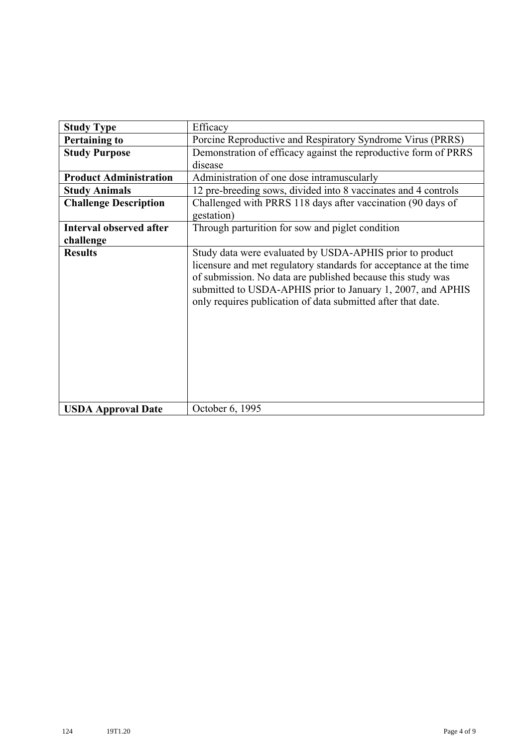| <b>Study Type</b>              | Efficacy                                                                                                                                                                                                                                                                                                                    |
|--------------------------------|-----------------------------------------------------------------------------------------------------------------------------------------------------------------------------------------------------------------------------------------------------------------------------------------------------------------------------|
| <b>Pertaining to</b>           | Porcine Reproductive and Respiratory Syndrome Virus (PRRS)                                                                                                                                                                                                                                                                  |
| <b>Study Purpose</b>           | Demonstration of efficacy against the reproductive form of PRRS                                                                                                                                                                                                                                                             |
|                                | disease                                                                                                                                                                                                                                                                                                                     |
| <b>Product Administration</b>  | Administration of one dose intramuscularly                                                                                                                                                                                                                                                                                  |
| <b>Study Animals</b>           | 12 pre-breeding sows, divided into 8 vaccinates and 4 controls                                                                                                                                                                                                                                                              |
| <b>Challenge Description</b>   | Challenged with PRRS 118 days after vaccination (90 days of<br>gestation)                                                                                                                                                                                                                                                   |
| <b>Interval observed after</b> | Through parturition for sow and piglet condition                                                                                                                                                                                                                                                                            |
| challenge                      |                                                                                                                                                                                                                                                                                                                             |
| <b>Results</b>                 | Study data were evaluated by USDA-APHIS prior to product<br>licensure and met regulatory standards for acceptance at the time<br>of submission. No data are published because this study was<br>submitted to USDA-APHIS prior to January 1, 2007, and APHIS<br>only requires publication of data submitted after that date. |
| <b>USDA Approval Date</b>      | October 6, 1995                                                                                                                                                                                                                                                                                                             |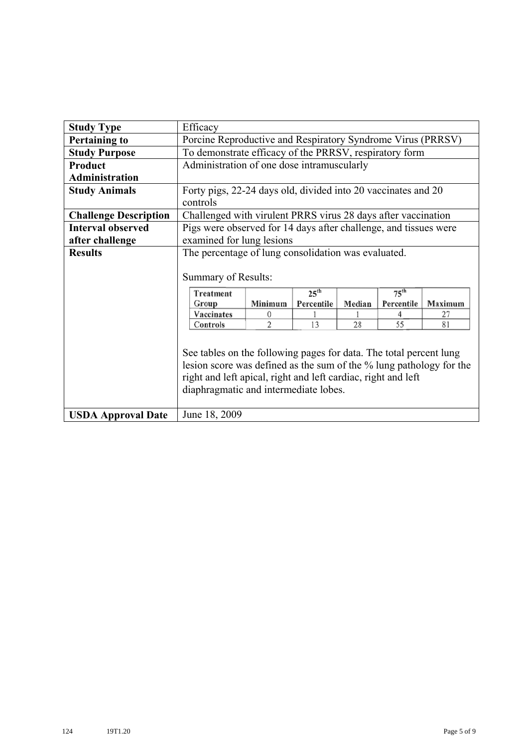| <b>Study Type</b>            | Efficacy                                                                                                                                                                                                                                                             |   |    |    |    |    |
|------------------------------|----------------------------------------------------------------------------------------------------------------------------------------------------------------------------------------------------------------------------------------------------------------------|---|----|----|----|----|
| <b>Pertaining to</b>         | Porcine Reproductive and Respiratory Syndrome Virus (PRRSV)                                                                                                                                                                                                          |   |    |    |    |    |
| <b>Study Purpose</b>         | To demonstrate efficacy of the PRRSV, respiratory form                                                                                                                                                                                                               |   |    |    |    |    |
| <b>Product</b>               | Administration of one dose intramuscularly                                                                                                                                                                                                                           |   |    |    |    |    |
| <b>Administration</b>        |                                                                                                                                                                                                                                                                      |   |    |    |    |    |
| <b>Study Animals</b>         | Forty pigs, 22-24 days old, divided into 20 vaccinates and 20                                                                                                                                                                                                        |   |    |    |    |    |
|                              | controls                                                                                                                                                                                                                                                             |   |    |    |    |    |
| <b>Challenge Description</b> | Challenged with virulent PRRS virus 28 days after vaccination                                                                                                                                                                                                        |   |    |    |    |    |
| <b>Interval observed</b>     | Pigs were observed for 14 days after challenge, and tissues were                                                                                                                                                                                                     |   |    |    |    |    |
| after challenge              | examined for lung lesions                                                                                                                                                                                                                                            |   |    |    |    |    |
| <b>Results</b>               | The percentage of lung consolidation was evaluated.                                                                                                                                                                                                                  |   |    |    |    |    |
|                              | Summary of Results:<br>$75^{th}$<br>25 <sup>th</sup><br><b>Treatment</b><br>Minimum<br>Percentile<br>Percentile<br>Maximum<br>Group<br>Median                                                                                                                        |   |    |    |    |    |
|                              | Vaccinates                                                                                                                                                                                                                                                           | 0 |    |    | 4  | 27 |
|                              | Controls                                                                                                                                                                                                                                                             | 2 | 13 | 28 | 55 | 81 |
|                              | See tables on the following pages for data. The total percent lung<br>lesion score was defined as the sum of the % lung pathology for the<br>right and left apical, right and left cardiac, right and left<br>diaphragmatic and intermediate lobes.<br>June 18, 2009 |   |    |    |    |    |
| <b>USDA Approval Date</b>    |                                                                                                                                                                                                                                                                      |   |    |    |    |    |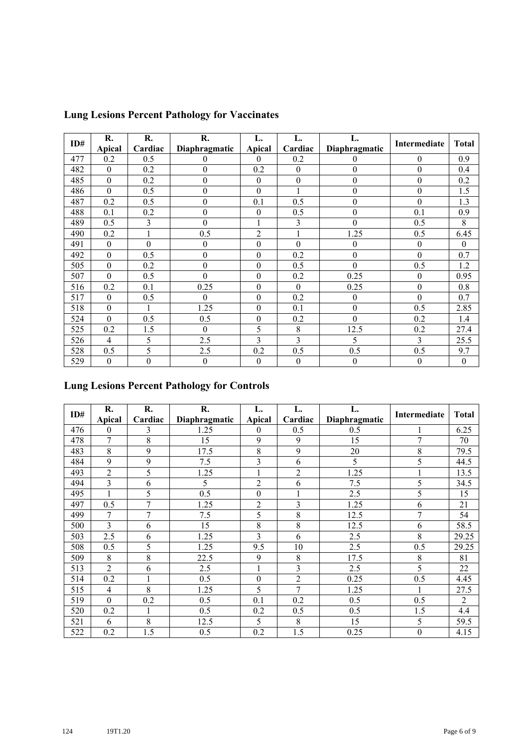| ID# | R.               | R.               | R.               | L.               | L.               | L.               |                  | <b>Total</b>     |
|-----|------------------|------------------|------------------|------------------|------------------|------------------|------------------|------------------|
|     | Apical           | Cardiac          | Diaphragmatic    | Apical           | Cardiac          | Diaphragmatic    | Intermediate     |                  |
| 477 | 0.2              | 0.5              | $\theta$         | $\theta$         | 0.2              | $\boldsymbol{0}$ | $\boldsymbol{0}$ | 0.9              |
| 482 | $\mathbf{0}$     | 0.2              | $\theta$         | 0.2              | $\boldsymbol{0}$ | $\boldsymbol{0}$ | $\boldsymbol{0}$ | 0.4              |
| 485 | $\mathbf{0}$     | 0.2              | $\boldsymbol{0}$ | $\boldsymbol{0}$ | $\boldsymbol{0}$ | $\boldsymbol{0}$ | $\boldsymbol{0}$ | 0.2              |
| 486 | $\overline{0}$   | 0.5              | $\boldsymbol{0}$ | $\mathbf{0}$     | 1                | $\boldsymbol{0}$ | $\boldsymbol{0}$ | 1.5              |
| 487 | 0.2              | 0.5              | $\boldsymbol{0}$ | 0.1              | 0.5              | $\boldsymbol{0}$ | $\boldsymbol{0}$ | 1.3              |
| 488 | 0.1              | 0.2              | $\boldsymbol{0}$ | $\theta$         | 0.5              | $\boldsymbol{0}$ | 0.1              | 0.9              |
| 489 | 0.5              | 3                | $\boldsymbol{0}$ |                  | 3                | $\boldsymbol{0}$ | 0.5              | 8                |
| 490 | 0.2              |                  | 0.5              | $\overline{2}$   | $\mathbf{1}$     | 1.25             | 0.5              | 6.45             |
| 491 | $\boldsymbol{0}$ | $\boldsymbol{0}$ | $\boldsymbol{0}$ | $\boldsymbol{0}$ | $\boldsymbol{0}$ | $\boldsymbol{0}$ | $\boldsymbol{0}$ | $\theta$         |
| 492 | $\overline{0}$   | 0.5              | $\boldsymbol{0}$ | $\theta$         | 0.2              | $\mathbf{0}$     | $\mathbf{0}$     | 0.7              |
| 505 | $\theta$         | 0.2              | $\theta$         | $\theta$         | 0.5              | $\theta$         | 0.5              | 1.2              |
| 507 | $\overline{0}$   | 0.5              | $\overline{0}$   | $\mathbf{0}$     | 0.2              | 0.25             | $\boldsymbol{0}$ | 0.95             |
| 516 | 0.2              | 0.1              | 0.25             | $\boldsymbol{0}$ | $\boldsymbol{0}$ | 0.25             | $\boldsymbol{0}$ | 0.8              |
| 517 | $\theta$         | 0.5              | $\theta$         | $\theta$         | 0.2              | $\boldsymbol{0}$ | $\mathbf{0}$     | 0.7              |
| 518 | $\mathbf{0}$     |                  | 1.25             | $\boldsymbol{0}$ | 0.1              | $\boldsymbol{0}$ | 0.5              | 2.85             |
| 524 | $\theta$         | 0.5              | 0.5              | $\boldsymbol{0}$ | 0.2              | $\boldsymbol{0}$ | 0.2              | 1.4              |
| 525 | 0.2              | 1.5              | $\Omega$         | 5                | 8                | 12.5             | 0.2              | 27.4             |
| 526 | 4                | 5                | 2.5              | 3                | 3                | 5                | 3                | 25.5             |
| 528 | 0.5              | 5                | 2.5              | 0.2              | 0.5              | 0.5              | 0.5              | 9.7              |
| 529 | $\boldsymbol{0}$ | $\mathbf{0}$     | $\mathbf{0}$     | $\mathbf{0}$     | $\boldsymbol{0}$ | $\boldsymbol{0}$ | $\boldsymbol{0}$ | $\boldsymbol{0}$ |

## **Lung Lesions Percent Pathology for Vaccinates**

## **Lung Lesions Percent Pathology for Controls**

| ID# | R.             | R.             | R.            | L.               | L.             | L.            | Intermediate   | <b>Total</b>   |
|-----|----------------|----------------|---------------|------------------|----------------|---------------|----------------|----------------|
|     | Apical         | Cardiac        | Diaphragmatic | <b>Apical</b>    | Cardiac        | Diaphragmatic |                |                |
| 476 | $\mathbf{0}$   | 3              | 1.25          | 0                | 0.5            | 0.5           |                | 6.25           |
| 478 | 7              | 8              | 15            | 9                | 9              | 15            | $\overline{7}$ | 70             |
| 483 | 8              | 9              | 17.5          | 8                | 9              | 20            | 8              | 79.5           |
| 484 | 9              | 9              | 7.5           | 3                | 6              | 5             | 5              | 44.5           |
| 493 | $\overline{2}$ | 5              | 1.25          |                  | $\overline{c}$ | 1.25          |                | 13.5           |
| 494 | 3              | 6              | 5             | $\overline{c}$   | 6              | 7.5           | 5              | 34.5           |
| 495 |                | 5              | 0.5           | $\boldsymbol{0}$ | 1              | 2.5           | 5              | 15             |
| 497 | 0.5            | $\overline{7}$ | 1.25          | $\overline{2}$   | 3              | 1.25          | 6              | 21             |
| 499 | 7              | 7              | 7.5           | 5                | 8              | 12.5          | 7              | 54             |
| 500 | 3              | 6              | 15            | 8                | 8              | 12.5          | 6              | 58.5           |
| 503 | 2.5            | 6              | 1.25          | 3                | 6              | 2.5           | 8              | 29.25          |
| 508 | 0.5            | 5              | 1.25          | 9.5              | 10             | 2.5           | 0.5            | 29.25          |
| 509 | 8              | 8              | 22.5          | 9                | 8              | 17.5          | 8              | 81             |
| 513 | 2              | 6              | 2.5           |                  | 3              | 2.5           | 5              | 22             |
| 514 | 0.2            |                | 0.5           | $\boldsymbol{0}$ | $\overline{2}$ | 0.25          | 0.5            | 4.45           |
| 515 | $\overline{4}$ | 8              | 1.25          | 5                | 7              | 1.25          |                | 27.5           |
| 519 | $\mathbf{0}$   | 0.2            | 0.5           | 0.1              | 0.2            | 0.5           | 0.5            | $\overline{2}$ |
| 520 | 0.2            |                | 0.5           | 0.2              | 0.5            | 0.5           | 1.5            | 4.4            |
| 521 | 6              | 8              | 12.5          | 5                | 8              | 15            | 5              | 59.5           |
| 522 | 0.2            | 1.5            | 0.5           | 0.2              | 1.5            | 0.25          | $\mathbf{0}$   | 4.15           |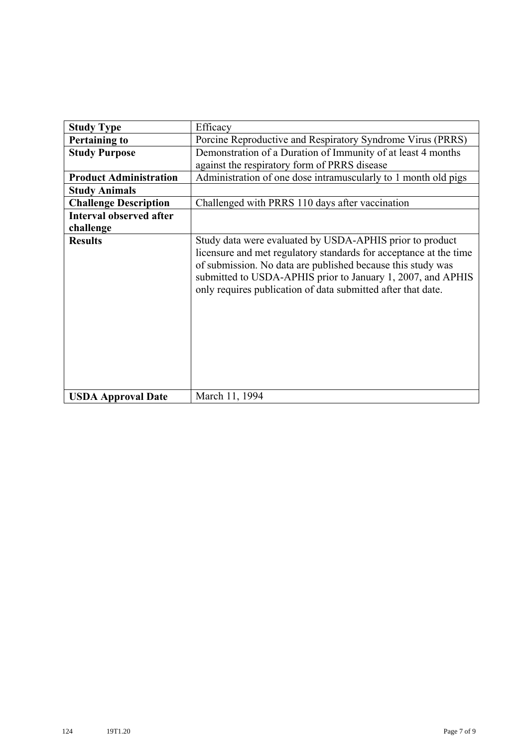| <b>Study Type</b>              | Efficacy                                                                                                                                                                                                                                                                                                                    |
|--------------------------------|-----------------------------------------------------------------------------------------------------------------------------------------------------------------------------------------------------------------------------------------------------------------------------------------------------------------------------|
| <b>Pertaining to</b>           | Porcine Reproductive and Respiratory Syndrome Virus (PRRS)                                                                                                                                                                                                                                                                  |
| <b>Study Purpose</b>           | Demonstration of a Duration of Immunity of at least 4 months                                                                                                                                                                                                                                                                |
|                                | against the respiratory form of PRRS disease                                                                                                                                                                                                                                                                                |
| <b>Product Administration</b>  | Administration of one dose intramuscularly to 1 month old pigs                                                                                                                                                                                                                                                              |
| <b>Study Animals</b>           |                                                                                                                                                                                                                                                                                                                             |
| <b>Challenge Description</b>   | Challenged with PRRS 110 days after vaccination                                                                                                                                                                                                                                                                             |
| <b>Interval observed after</b> |                                                                                                                                                                                                                                                                                                                             |
| challenge                      |                                                                                                                                                                                                                                                                                                                             |
| <b>Results</b>                 | Study data were evaluated by USDA-APHIS prior to product<br>licensure and met regulatory standards for acceptance at the time<br>of submission. No data are published because this study was<br>submitted to USDA-APHIS prior to January 1, 2007, and APHIS<br>only requires publication of data submitted after that date. |
| <b>USDA Approval Date</b>      | March 11, 1994                                                                                                                                                                                                                                                                                                              |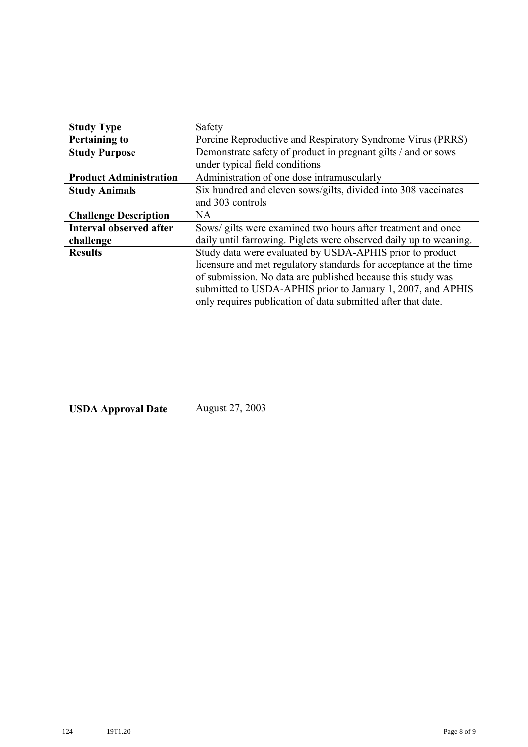| <b>Study Type</b>              | Safety                                                                                                                                                                                                                                                                                                                      |
|--------------------------------|-----------------------------------------------------------------------------------------------------------------------------------------------------------------------------------------------------------------------------------------------------------------------------------------------------------------------------|
| <b>Pertaining to</b>           | Porcine Reproductive and Respiratory Syndrome Virus (PRRS)                                                                                                                                                                                                                                                                  |
| <b>Study Purpose</b>           | Demonstrate safety of product in pregnant gilts / and or sows<br>under typical field conditions                                                                                                                                                                                                                             |
| <b>Product Administration</b>  | Administration of one dose intramuscularly                                                                                                                                                                                                                                                                                  |
| <b>Study Animals</b>           | Six hundred and eleven sows/gilts, divided into 308 vaccinates<br>and 303 controls                                                                                                                                                                                                                                          |
| <b>Challenge Description</b>   | <b>NA</b>                                                                                                                                                                                                                                                                                                                   |
| <b>Interval observed after</b> | Sows/ gilts were examined two hours after treatment and once                                                                                                                                                                                                                                                                |
| challenge                      | daily until farrowing. Piglets were observed daily up to weaning.                                                                                                                                                                                                                                                           |
| <b>Results</b>                 | Study data were evaluated by USDA-APHIS prior to product<br>licensure and met regulatory standards for acceptance at the time<br>of submission. No data are published because this study was<br>submitted to USDA-APHIS prior to January 1, 2007, and APHIS<br>only requires publication of data submitted after that date. |
| <b>USDA Approval Date</b>      | August 27, 2003                                                                                                                                                                                                                                                                                                             |